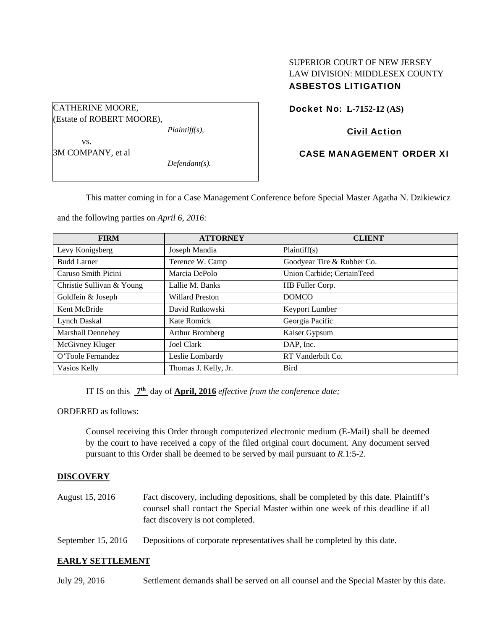# SUPERIOR COURT OF NEW JERSEY LAW DIVISION: MIDDLESEX COUNTY ASBESTOS LITIGATION

Docket No: **L-7152-12 (AS)** 

# Civil Action

## CASE MANAGEMENT ORDER XI

This matter coming in for a Case Management Conference before Special Master Agatha N. Dzikiewicz

and the following parties on *April 6, 2016*:

*Plaintiff(s),* 

*Defendant(s).* 

CATHERINE MOORE,

 vs. 3M COMPANY, et al

(Estate of ROBERT MOORE),

| <b>FIRM</b>               | <b>ATTORNEY</b>        | <b>CLIENT</b>              |
|---------------------------|------------------------|----------------------------|
| Levy Konigsberg           | Joseph Mandia          | Plaintiff(s)               |
| <b>Budd Larner</b>        | Terence W. Camp        | Goodyear Tire & Rubber Co. |
| Caruso Smith Picini       | Marcia DePolo          | Union Carbide; CertainTeed |
| Christie Sullivan & Young | Lallie M. Banks        | HB Fuller Corp.            |
| Goldfein & Joseph         | <b>Willard Preston</b> | <b>DOMCO</b>               |
| Kent McBride              | David Rutkowski        | Keyport Lumber             |
| Lynch Daskal              | Kate Romick            | Georgia Pacific            |
| <b>Marshall Dennehey</b>  | Arthur Bromberg        | Kaiser Gypsum              |
| McGivney Kluger           | Joel Clark             | DAP, Inc.                  |
| O'Toole Fernandez         | Leslie Lombardy        | RT Vanderbilt Co.          |
| Vasios Kelly              | Thomas J. Kelly, Jr.   | <b>Bird</b>                |

IT IS on this **7th** day of **April, 2016** *effective from the conference date;*

ORDERED as follows:

Counsel receiving this Order through computerized electronic medium (E-Mail) shall be deemed by the court to have received a copy of the filed original court document. Any document served pursuant to this Order shall be deemed to be served by mail pursuant to *R*.1:5-2.

## **DISCOVERY**

- August 15, 2016 Fact discovery, including depositions, shall be completed by this date. Plaintiff's counsel shall contact the Special Master within one week of this deadline if all fact discovery is not completed.
- September 15, 2016 Depositions of corporate representatives shall be completed by this date.

### **EARLY SETTLEMENT**

July 29, 2016 Settlement demands shall be served on all counsel and the Special Master by this date.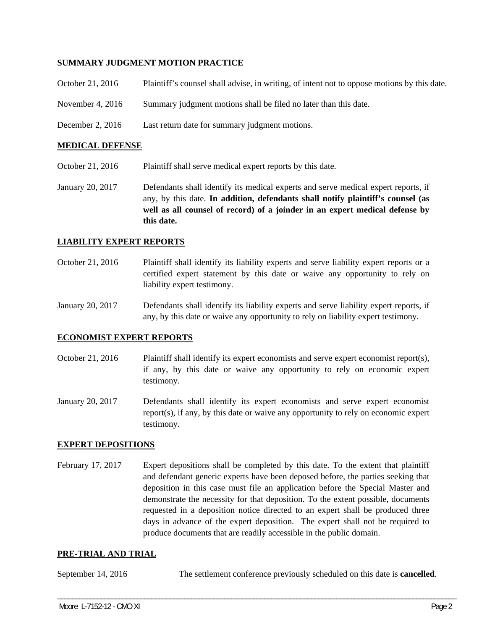### **SUMMARY JUDGMENT MOTION PRACTICE**

| October 21, 2016   | Plaintiff's counsel shall advise, in writing, of intent not to oppose motions by this date. |
|--------------------|---------------------------------------------------------------------------------------------|
| November 4, $2016$ | Summary judgment motions shall be filed no later than this date.                            |
| December 2, $2016$ | Last return date for summary judgment motions.                                              |

### **MEDICAL DEFENSE**

- October 21, 2016 Plaintiff shall serve medical expert reports by this date.
- January 20, 2017 Defendants shall identify its medical experts and serve medical expert reports, if any, by this date. **In addition, defendants shall notify plaintiff's counsel (as well as all counsel of record) of a joinder in an expert medical defense by this date.**

#### **LIABILITY EXPERT REPORTS**

October 21, 2016 Plaintiff shall identify its liability experts and serve liability expert reports or a certified expert statement by this date or waive any opportunity to rely on liability expert testimony.

January 20, 2017 Defendants shall identify its liability experts and serve liability expert reports, if any, by this date or waive any opportunity to rely on liability expert testimony.

#### **ECONOMIST EXPERT REPORTS**

October 21, 2016 Plaintiff shall identify its expert economists and serve expert economist report(s), if any, by this date or waive any opportunity to rely on economic expert testimony.

January 20, 2017 Defendants shall identify its expert economists and serve expert economist report(s), if any, by this date or waive any opportunity to rely on economic expert testimony.

### **EXPERT DEPOSITIONS**

February 17, 2017 Expert depositions shall be completed by this date. To the extent that plaintiff and defendant generic experts have been deposed before, the parties seeking that deposition in this case must file an application before the Special Master and demonstrate the necessity for that deposition. To the extent possible, documents requested in a deposition notice directed to an expert shall be produced three days in advance of the expert deposition. The expert shall not be required to produce documents that are readily accessible in the public domain.

#### **PRE-TRIAL AND TRIAL**

September 14, 2016 The settlement conference previously scheduled on this date is **cancelled**.

\_\_\_\_\_\_\_\_\_\_\_\_\_\_\_\_\_\_\_\_\_\_\_\_\_\_\_\_\_\_\_\_\_\_\_\_\_\_\_\_\_\_\_\_\_\_\_\_\_\_\_\_\_\_\_\_\_\_\_\_\_\_\_\_\_\_\_\_\_\_\_\_\_\_\_\_\_\_\_\_\_\_\_\_\_\_\_\_\_\_\_\_\_\_\_\_\_\_\_\_\_\_\_\_\_\_\_\_\_\_